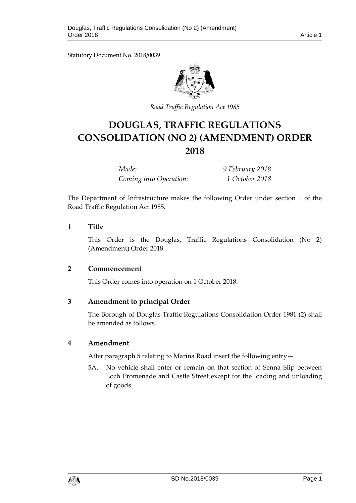Statutory Document No. 2018/0039



*Road Traffic Regulation Act 1985*

# **DOUGLAS, TRAFFIC REGULATIONS CONSOLIDATION (NO 2) (AMENDMENT) ORDER 2018**

*Made: 9 February 2018 Coming into Operation: 1 October 2018*

The Department of Infrastructure makes the following Order under section 1 of the Road Traffic Regulation Act 1985.

# **1 Title**

This Order is the Douglas, Traffic Regulations Consolidation (No 2) (Amendment) Order 2018.

# **2 Commencement**

This Order comes into operation on 1 October 2018.

# **3 Amendment to principal Order**

The Borough of Douglas Traffic Regulations Consolidation Order 1981 (2) shall be amended as follows.

#### **4 Amendment**

After paragraph 5 relating to Marina Road insert the following entry—

5A. No vehicle shall enter or remain on that section of Senna Slip between Loch Promenade and Castle Street except for the loading and unloading of goods.

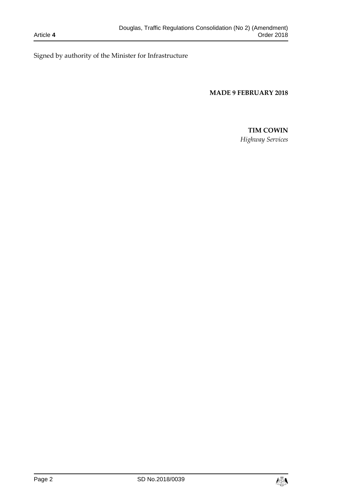Signed by authority of the Minister for Infrastructure

#### **MADE 9 FEBRUARY 2018**

# **TIM COWIN**

*Highway Services*